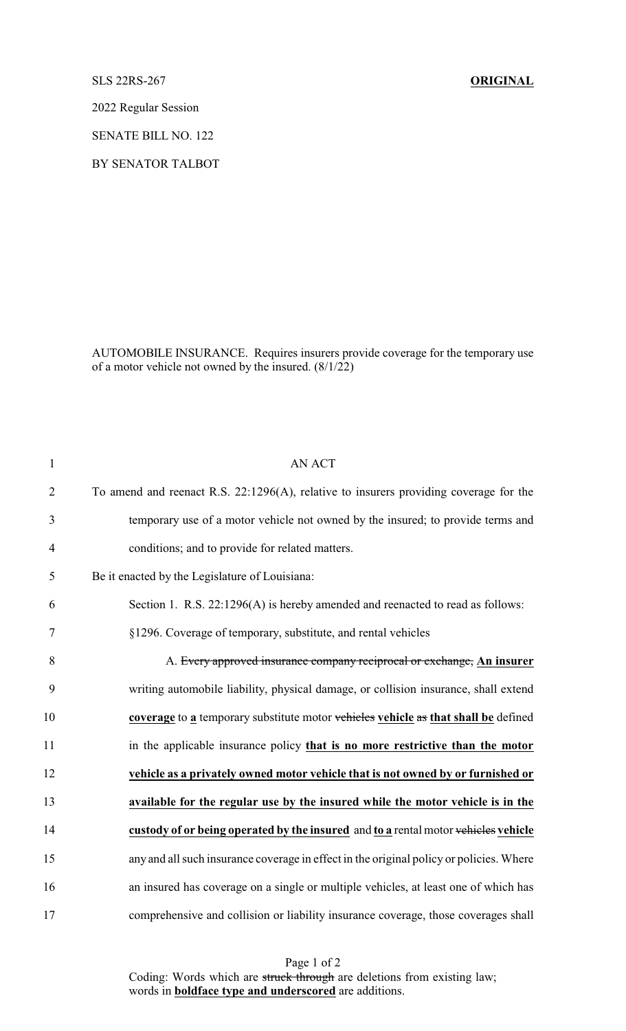SLS 22RS-267 **ORIGINAL**

2022 Regular Session

SENATE BILL NO. 122

BY SENATOR TALBOT

AUTOMOBILE INSURANCE. Requires insurers provide coverage for the temporary use of a motor vehicle not owned by the insured.  $(8/1/22)$ 

| $\mathbf{1}$   | <b>AN ACT</b>                                                                           |
|----------------|-----------------------------------------------------------------------------------------|
| $\overline{2}$ | To amend and reenact R.S. 22:1296(A), relative to insurers providing coverage for the   |
| 3              | temporary use of a motor vehicle not owned by the insured; to provide terms and         |
| $\overline{4}$ | conditions; and to provide for related matters.                                         |
| 5              | Be it enacted by the Legislature of Louisiana:                                          |
| 6              | Section 1. R.S. 22:1296(A) is hereby amended and reenacted to read as follows:          |
| $\tau$         | §1296. Coverage of temporary, substitute, and rental vehicles                           |
| 8              | A. Every approved insurance company reciprocal or exchange, An insurer                  |
| 9              | writing automobile liability, physical damage, or collision insurance, shall extend     |
| 10             | coverage to a temporary substitute motor vehicles vehicle as that shall be defined      |
| 11             | in the applicable insurance policy that is no more restrictive than the motor           |
| 12             | vehicle as a privately owned motor vehicle that is not owned by or furnished or         |
| 13             | available for the regular use by the insured while the motor vehicle is in the          |
| 14             | custody of or being operated by the insured and to a rental motor vehicles vehicle      |
| 15             | any and all such insurance coverage in effect in the original policy or policies. Where |
| 16             | an insured has coverage on a single or multiple vehicles, at least one of which has     |
| 17             | comprehensive and collision or liability insurance coverage, those coverages shall      |

Page 1 of 2 Coding: Words which are struck through are deletions from existing law; words in **boldface type and underscored** are additions.